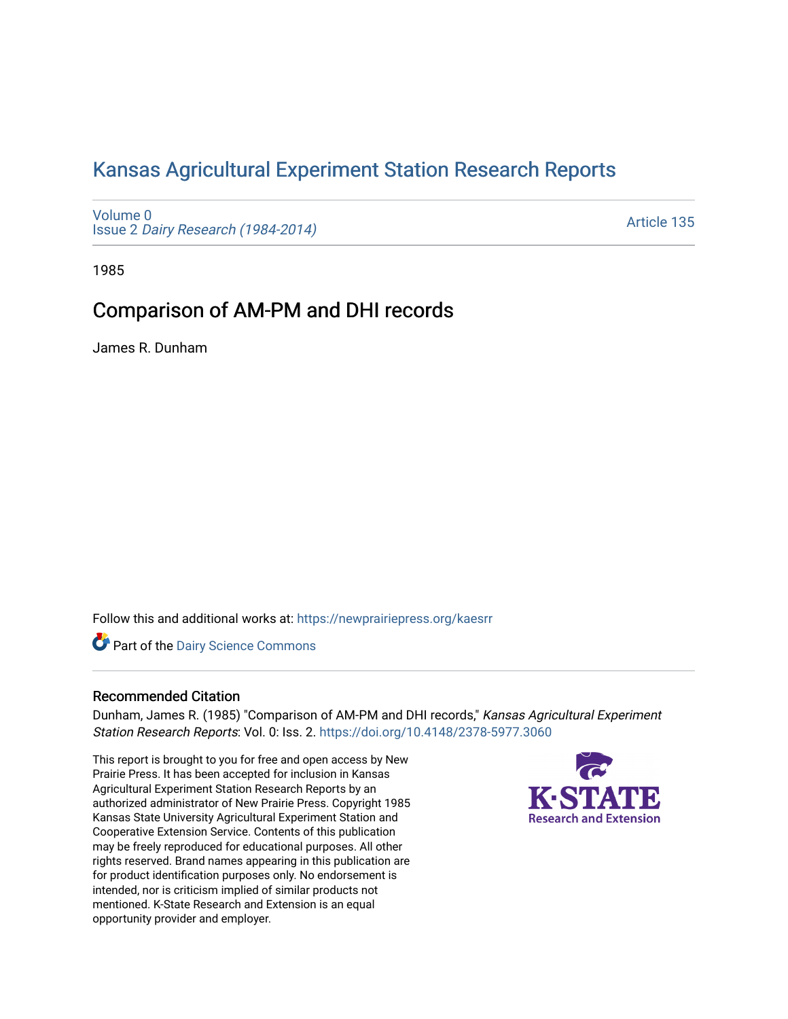# [Kansas Agricultural Experiment Station Research Reports](https://newprairiepress.org/kaesrr)

[Volume 0](https://newprairiepress.org/kaesrr/vol0) Issue 2 [Dairy Research \(1984-2014\)](https://newprairiepress.org/kaesrr/vol0/iss2) 

[Article 135](https://newprairiepress.org/kaesrr/vol0/iss2/135) 

1985

## Comparison of AM-PM and DHI records

James R. Dunham

Follow this and additional works at: [https://newprairiepress.org/kaesrr](https://newprairiepress.org/kaesrr?utm_source=newprairiepress.org%2Fkaesrr%2Fvol0%2Fiss2%2F135&utm_medium=PDF&utm_campaign=PDFCoverPages) 

**Part of the Dairy Science Commons** 

### Recommended Citation

Dunham, James R. (1985) "Comparison of AM-PM and DHI records," Kansas Agricultural Experiment Station Research Reports: Vol. 0: Iss. 2.<https://doi.org/10.4148/2378-5977.3060>

This report is brought to you for free and open access by New Prairie Press. It has been accepted for inclusion in Kansas Agricultural Experiment Station Research Reports by an authorized administrator of New Prairie Press. Copyright 1985 Kansas State University Agricultural Experiment Station and Cooperative Extension Service. Contents of this publication may be freely reproduced for educational purposes. All other rights reserved. Brand names appearing in this publication are for product identification purposes only. No endorsement is intended, nor is criticism implied of similar products not mentioned. K-State Research and Extension is an equal opportunity provider and employer.

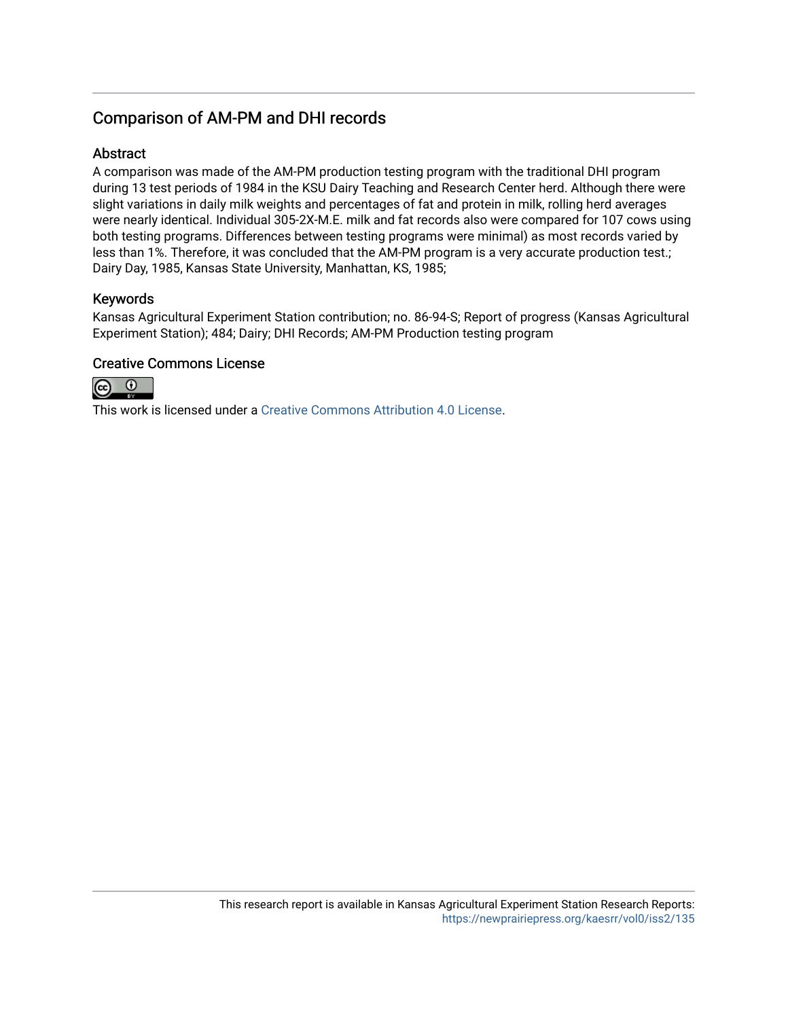## Comparison of AM-PM and DHI records

## **Abstract**

A comparison was made of the AM-PM production testing program with the traditional DHI program during 13 test periods of 1984 in the KSU Dairy Teaching and Research Center herd. Although there were slight variations in daily milk weights and percentages of fat and protein in milk, rolling herd averages were nearly identical. Individual 305-2X-M.E. milk and fat records also were compared for 107 cows using both testing programs. Differences between testing programs were minimal) as most records varied by less than 1%. Therefore, it was concluded that the AM-PM program is a very accurate production test.; Dairy Day, 1985, Kansas State University, Manhattan, KS, 1985;

## Keywords

Kansas Agricultural Experiment Station contribution; no. 86-94-S; Report of progress (Kansas Agricultural Experiment Station); 484; Dairy; DHI Records; AM-PM Production testing program

### Creative Commons License



This work is licensed under a [Creative Commons Attribution 4.0 License](https://creativecommons.org/licenses/by/4.0/).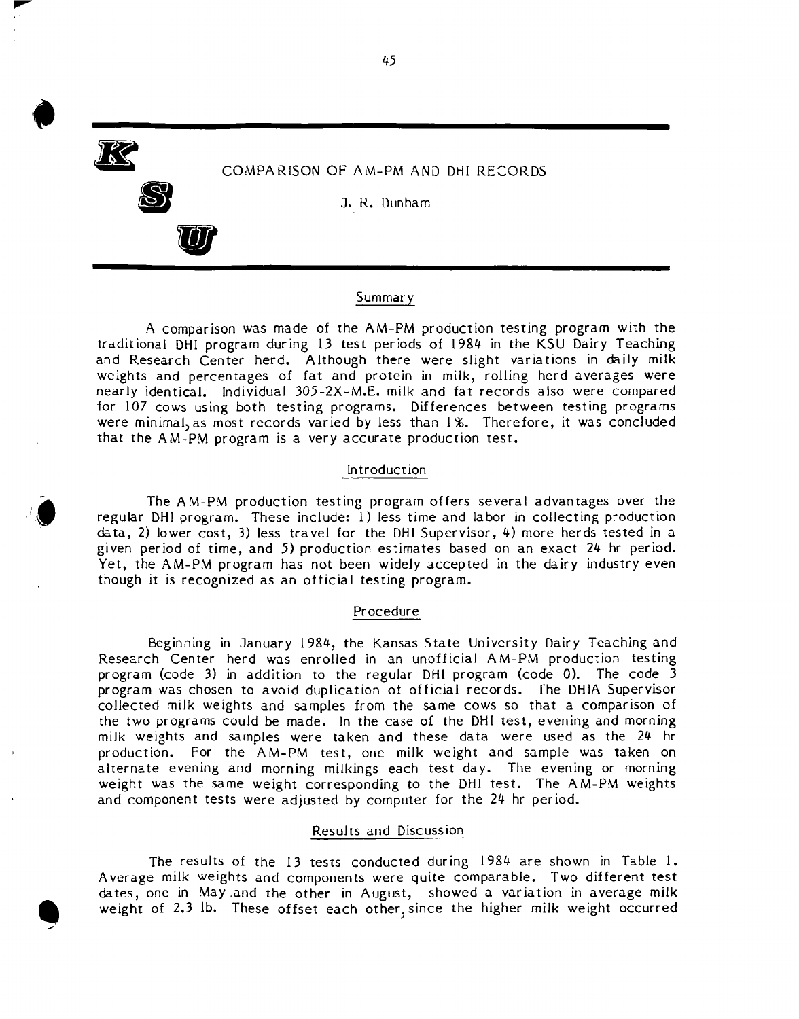

**•** 

 $\ddot{\bullet}$ 

**JA** 

**S** 

**U** 

J. R. Dunham

#### Summary

A comparison was made of the AM-PM production testing program with the traditional DHI program during 13 test periods of 1984 in the KSU Dairy Teaching and Research Center herd. Although there were slight variations in daily milk weights and percentages of fat and protein in milk, rolling herd averages were nearly identical. Individual 305-2X-M.E. milk and fat records also were compared for 107 cows using both testing programs. Differences between testing programs were minimal, as most records varied by less than I %. Therefore, it was concluded that the AM-PM program is a very accurate production test.

#### Introduction

The AM-PM production testing program offers several advantages over the regular DHI program. These include: 1) less time and labor in collecting production data, 2) lower cost, 3) less travel for the DHI Supervisor, 4) more herds tested in a given period of time, and 5) production estimates based on an exact 24 hr period. Yet, the AM-PM program has not been widely accepted in the dairy industry even though it is recognized as an official testing program.

#### Procedure

Beginning in January 1984, the Kansas State University Dairy Teaching and Research Center herd was enrolled in an unofficial AM-PM production testing program (code 3) in addition to the regular DHI program (code 0). The code 3 program was chosen to avoid duplication of official records. The DHIA Supervisor collected milk weights and samples from the same cows so that a comparison of the two programs could be made. In the case of the DHI test, evening and morning milk weights and samples were taken and these data were used as the 24 hr production. For the AM-PM test, one milk weight and sample was taken on alternate evening and morning milkings each test day. The evening or morning weight was the same weight corresponding to the DHI test. The AM-PM weights and component tests were adjusted by computer for the 24 hr period.

#### Results and Discussion

The results of the 13 tests conducted during 1984 are shown in Table 1. Average milk weights and components were quite comparable. Two different test dates, one in May.and the other in August, showed a variation in average milk weight of 2.3 lb. These offset each other, since the higher milk weight occurred